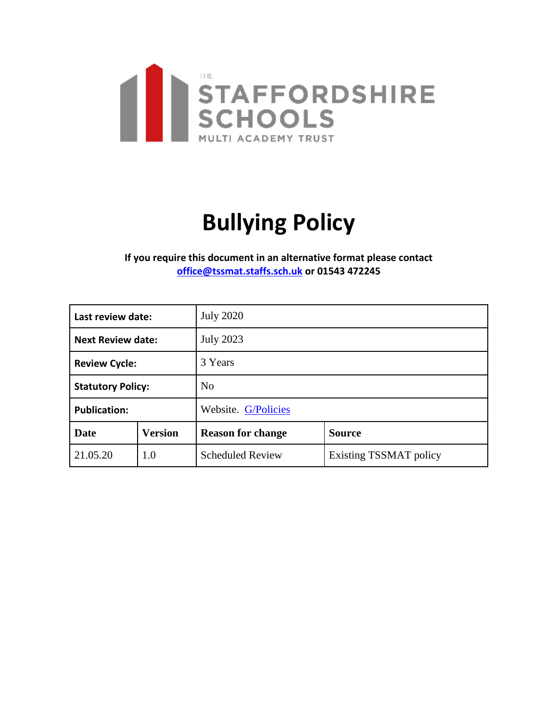

# **Bullying Policy**

**If you require this document in an alternative format please contact [office@tssmat.staffs.sch.uk](mailto:office@tssmat.staffs.sch.uk) or 01543 472245**

| Last review date:        |                | <b>July 2020</b>         |                               |
|--------------------------|----------------|--------------------------|-------------------------------|
| <b>Next Review date:</b> |                | <b>July 2023</b>         |                               |
| <b>Review Cycle:</b>     |                | 3 Years                  |                               |
| <b>Statutory Policy:</b> |                | N <sub>o</sub>           |                               |
| <b>Publication:</b>      |                | Website. G/Policies      |                               |
| <b>Date</b>              | <b>Version</b> | <b>Reason for change</b> | <b>Source</b>                 |
| 21.05.20                 | 1.0            | <b>Scheduled Review</b>  | <b>Existing TSSMAT policy</b> |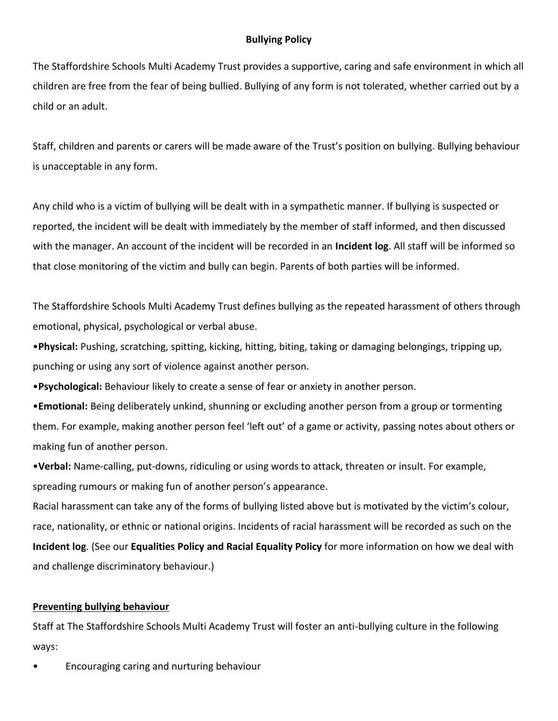### **Bullying Policy**

The Staffordshire Schools Multi Academy Trust provides a supportive, caring and safe environment in which all children are free from the fear of being bullied. Bullying of any form is not tolerated, whether carried out by a child or an adult.

Staff, children and parents or carers will be made aware of the Trust's position on bullying. Bullying behaviour is unacceptable in any form.

Any child who is a victim of bullying will be dealt with in a sympathetic manner. If bullying is suspected or reported, the incident will be dealt with immediately by the member of staff informed, and then discussed with the manager. An account of the incident will be recorded in an **Incident log**. All staff will be informed so that close monitoring of the victim and bully can begin. Parents of both parties will be informed.

The Staffordshire Schools Multi Academy Trust defines bullying as the repeated harassment of others through emotional, physical, psychological or verbal abuse.

•**Physical:** Pushing, scratching, spitting, kicking, hitting, biting, taking or damaging belongings, tripping up, punching or using any sort of violence against another person.

•**Psychological:** Behaviour likely to create a sense of fear or anxiety in another person.

•**Emotional:** Being deliberately unkind, shunning or excluding another person from a group or tormenting them. For example, making another person feel 'left out' of a game or activity, passing notes about others or making fun of another person.

•**Verbal:** Name-calling, put-downs, ridiculing or using words to attack, threaten or insult. For example, spreading rumours or making fun of another person's appearance.

Racial harassment can take any of the forms of bullying listed above but is motivated by the victim's colour, race, nationality, or ethnic or national origins. Incidents of racial harassment will be recorded as such on the **Incident log**. (See our **Equalities Policy and Racial Equality Policy** for more information on how we deal with and challenge discriminatory behaviour.)

#### **Preventing bullying behaviour**

Staff at The Staffordshire Schools Multi Academy Trust will foster an anti-bullying culture in the following ways:

• Encouraging caring and nurturing behaviour